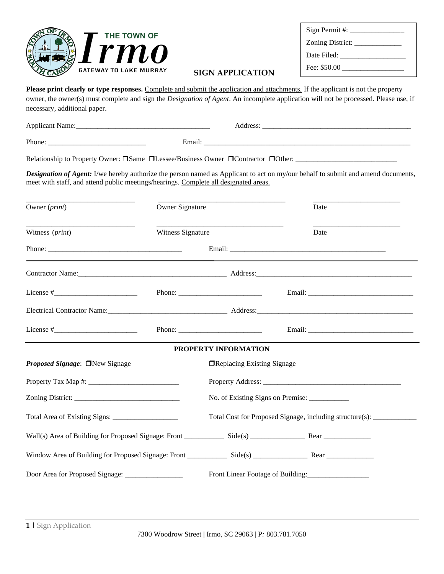

| Sign Permit #:   |  |
|------------------|--|
| Zoning District: |  |
| Date Filed:      |  |
| Fee: \$50.00     |  |

## **SIGN APPLICATION**

Please print clearly or type responses. Complete and submit the application and attachments. If the applicant is not the property owner, the owner(s) must complete and sign the *Designation of Agent*. An incomplete application will not be processed. Please use, if necessary, additional paper.

| Applicant Name: 1988. [19] Applicant Name: 1988. [19] Applicant Name: 1988. [19] Applicant Name: 1988. [19] Applicant Name: 1988. [19] Applicant Name: 1988. [19] Applicant Name: 1988. [19] Applicant Name: 1988. [19] Applic                                                                                                                                                                               |                   |                             |                                                                     |  |  |
|--------------------------------------------------------------------------------------------------------------------------------------------------------------------------------------------------------------------------------------------------------------------------------------------------------------------------------------------------------------------------------------------------------------|-------------------|-----------------------------|---------------------------------------------------------------------|--|--|
| Phone: $\frac{1}{\sqrt{1-\frac{1}{2}}\sqrt{1-\frac{1}{2}}\sqrt{1-\frac{1}{2}}\sqrt{1-\frac{1}{2}}\sqrt{1-\frac{1}{2}}\sqrt{1-\frac{1}{2}}\sqrt{1-\frac{1}{2}}\sqrt{1-\frac{1}{2}}\sqrt{1-\frac{1}{2}}\sqrt{1-\frac{1}{2}}\sqrt{1-\frac{1}{2}}\sqrt{1-\frac{1}{2}}\sqrt{1-\frac{1}{2}}\sqrt{1-\frac{1}{2}}\sqrt{1-\frac{1}{2}}\sqrt{1-\frac{1}{2}}\sqrt{1-\frac{1}{2}}\sqrt{1-\frac{1}{2}}\sqrt{1-\frac{1}{2$ |                   |                             |                                                                     |  |  |
| Relationship to Property Owner: □Same □Lessee/Business Owner □Contractor □Other: __________________                                                                                                                                                                                                                                                                                                          |                   |                             |                                                                     |  |  |
| <b>Designation of Agent:</b> I/we hereby authorize the person named as Applicant to act on my/our behalf to submit and amend documents,<br>meet with staff, and attend public meetings/hearings. Complete all designated areas.                                                                                                                                                                              |                   |                             |                                                                     |  |  |
| Owner (print)                                                                                                                                                                                                                                                                                                                                                                                                | Owner Signature   |                             | Date                                                                |  |  |
| Witness ( <i>print</i> )                                                                                                                                                                                                                                                                                                                                                                                     | Witness Signature |                             | Date                                                                |  |  |
|                                                                                                                                                                                                                                                                                                                                                                                                              |                   |                             |                                                                     |  |  |
|                                                                                                                                                                                                                                                                                                                                                                                                              |                   |                             |                                                                     |  |  |
|                                                                                                                                                                                                                                                                                                                                                                                                              |                   |                             |                                                                     |  |  |
|                                                                                                                                                                                                                                                                                                                                                                                                              |                   |                             |                                                                     |  |  |
|                                                                                                                                                                                                                                                                                                                                                                                                              |                   |                             |                                                                     |  |  |
|                                                                                                                                                                                                                                                                                                                                                                                                              |                   | PROPERTY INFORMATION        |                                                                     |  |  |
| <i>Proposed Signage</i> : □New Signage                                                                                                                                                                                                                                                                                                                                                                       |                   | □Replacing Existing Signage |                                                                     |  |  |
|                                                                                                                                                                                                                                                                                                                                                                                                              |                   |                             |                                                                     |  |  |
|                                                                                                                                                                                                                                                                                                                                                                                                              |                   |                             | No. of Existing Signs on Premise: ___________                       |  |  |
|                                                                                                                                                                                                                                                                                                                                                                                                              |                   |                             | Total Cost for Proposed Signage, including structure(s): __________ |  |  |
|                                                                                                                                                                                                                                                                                                                                                                                                              |                   |                             |                                                                     |  |  |
|                                                                                                                                                                                                                                                                                                                                                                                                              |                   |                             |                                                                     |  |  |
| Door Area for Proposed Signage: _______________                                                                                                                                                                                                                                                                                                                                                              |                   |                             | Front Linear Footage of Building:                                   |  |  |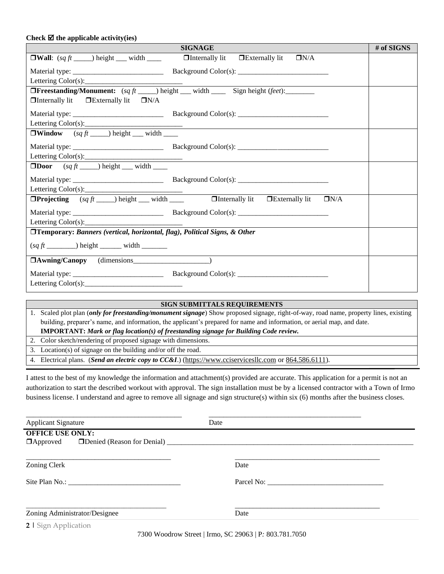## **Check**  $\boldsymbol{\nabla}$  **the applicable activity(ies)**

| <b>SIGNAGE</b>                                                                                                    | # of SIGNS |
|-------------------------------------------------------------------------------------------------------------------|------------|
| $\Box$ Wall: $(sqft$ ______) height ____ width _____<br>$\Box$ Internally lit $\Box$ Externally lit<br>$\Box N/A$ |            |
|                                                                                                                   |            |
| Lettering Color(s):                                                                                               |            |
| <b>The Treestanding/Monument:</b> $(sqft$ beight width Sign height (feet):                                        |            |
| $\Box$ Internally lit $\Box$ Externally lit $\Box N/A$                                                            |            |
|                                                                                                                   |            |
|                                                                                                                   |            |
| $\Box$ Window $(sqft$ <sub>____</sub> ____) height ____ width ______                                              |            |
|                                                                                                                   |            |
|                                                                                                                   |            |
| <b>ODoor</b> $(sq ft \_\_)$ height width $\_\_$                                                                   |            |
|                                                                                                                   |            |
|                                                                                                                   |            |
| $\Box N/A$                                                                                                        |            |
|                                                                                                                   |            |
|                                                                                                                   |            |
| □Temporary: Banners (vertical, horizontal, flag), Political Signs, & Other                                        |            |
|                                                                                                                   |            |
|                                                                                                                   |            |
|                                                                                                                   |            |
|                                                                                                                   |            |

## **SIGN SUBMITTALS REQUIREMENTS**

| 1. Scaled plot plan (only for freestanding/monument signage) Show proposed signage, right-of-way, road name, property lines, existing |
|---------------------------------------------------------------------------------------------------------------------------------------|
| building, preparer's name, and information, the applicant's prepared for name and information, or aerial map, and date.               |
| <b>IMPORTANT:</b> Mark or flag location(s) of freestanding signage for Building Code review.                                          |
| 2. Color sketch/rendering of proposed signage with dimensions.                                                                        |
| 3. Location(s) of signage on the building and/or off the road.                                                                        |
| 4. Electrical plans. (Send an electric copy to CC&I.) (https://www.cciservicesllc.com or 864.586.6111).                               |

I attest to the best of my knowledge the information and attachment(s) provided are accurate. This application for a permit is not an authorization to start the described workout with approval. The sign installation must be by a licensed contractor with a Town of Irmo business license. I understand and agree to remove all signage and sign structure(s) within six (6) months after the business closes.

| <b>Applicant Signature</b>    | Date |  |
|-------------------------------|------|--|
| <b>OFFICE USE ONLY:</b>       |      |  |
|                               |      |  |
|                               |      |  |
| Zoning Clerk                  | Date |  |
|                               |      |  |
| Zoning Administrator/Designee | Date |  |
| 2   Sign Application          |      |  |

7300 Woodrow Street | Irmo, SC 29063 | P*:* 803.781.7050